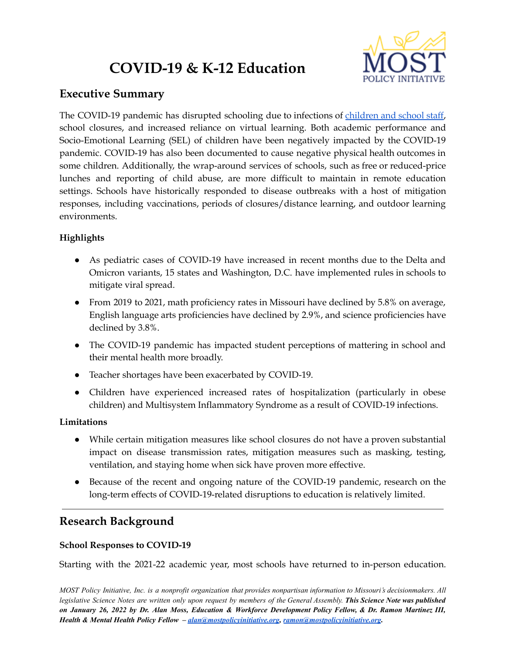# **COVID-19 & K-12 Education**



# **Executive Summary**

The COVID-19 pandemic has disrupted schooling due to infections of [children](https://health.mo.gov/living/healthcondiseases/communicable/novel-coronavirus/data/public-health/school-districts.php) and school staff, school closures, and increased reliance on virtual learning. Both academic performance and Socio-Emotional Learning (SEL) of children have been negatively impacted by the COVID-19 pandemic. COVID-19 has also been documented to cause negative physical health outcomes in some children. Additionally, the wrap-around services of schools, such as free or reduced-price lunches and reporting of child abuse, are more difficult to maintain in remote education settings. Schools have historically responded to disease outbreaks with a host of mitigation responses, including vaccinations, periods of closures/distance learning, and outdoor learning environments.

## **Highlights**

- As pediatric cases of COVID-19 have increased in recent months due to the Delta and Omicron variants, 15 states and Washington, D.C. have implemented rules in schools to mitigate viral spread.
- From 2019 to 2021, math proficiency rates in Missouri have declined by 5.8% on average, English language arts proficiencies have declined by 2.9%, and science proficiencies have declined by 3.8%.
- The COVID-19 pandemic has impacted student perceptions of mattering in school and their mental health more broadly.
- Teacher shortages have been exacerbated by COVID-19.
- Children have experienced increased rates of hospitalization (particularly in obese children) and Multisystem Inflammatory Syndrome as a result of COVID-19 infections.

### **Limitations**

- While certain mitigation measures like school closures do not have a proven substantial impact on disease transmission rates, mitigation measures such as masking, testing, ventilation, and staying home when sick have proven more effective.
- Because of the recent and ongoing nature of the COVID-19 pandemic, research on the long-term effects of COVID-19-related disruptions to education is relatively limited.

# **Research Background**

## **School Responses to COVID-19**

Starting with the 2021-22 academic year, most schools have returned to in-person education.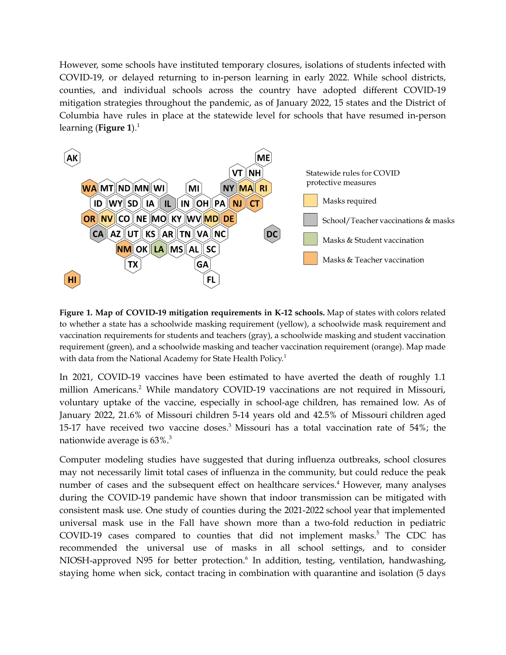However, some schools have instituted temporary closures, isolations of students infected with COVID-19, or delayed returning to in-person learning in early 2022. While school districts, counties, and individual schools across the country have adopted different COVID-19 mitigation strategies throughout the pandemic, as of January 2022, 15 states and the District of Columbia have rules in place at the statewide level for schools that have resumed in-person learning (**Figure 1**). 1



**Figure 1. Map of COVID-19 mitigation requirements in K-12 schools.** Map of states with colors related to whether a state has a schoolwide masking requirement (yellow), a schoolwide mask requirement and vaccination requirements for students and teachers (gray), a schoolwide masking and student vaccination requirement (green), and a schoolwide masking and teacher vaccination requirement (orange). Map made with data from the National Academy for State Health Policy.<sup>1</sup>

In 2021, COVID-19 vaccines have been estimated to have averted the death of roughly 1.1 million Americans. <sup>2</sup> While mandatory COVID-19 vaccinations are not required in Missouri, voluntary uptake of the vaccine, especially in school-age children, has remained low. As of January 2022, 21.6% of Missouri children 5-14 years old and 42.5% of Missouri children aged 15-17 have received two vaccine doses. <sup>3</sup> Missouri has a total vaccination rate of 54%; the nationwide average is 63%. 3

Computer modeling studies have suggested that during influenza outbreaks, school closures may not necessarily limit total cases of influenza in the community, but could reduce the peak number of cases and the subsequent effect on healthcare services. <sup>4</sup> However, many analyses during the COVID-19 pandemic have shown that indoor transmission can be mitigated with consistent mask use. One study of counties during the 2021-2022 school year that implemented universal mask use in the Fall have shown more than a two-fold reduction in pediatric COVID-19 cases compared to counties that did not implement masks.<sup>5</sup> The CDC has recommended the universal use of masks in all school settings, and to consider NIOSH-approved N95 for better protection. 6 In addition, testing, ventilation, handwashing, staying home when sick, contact tracing in combination with quarantine and isolation (5 days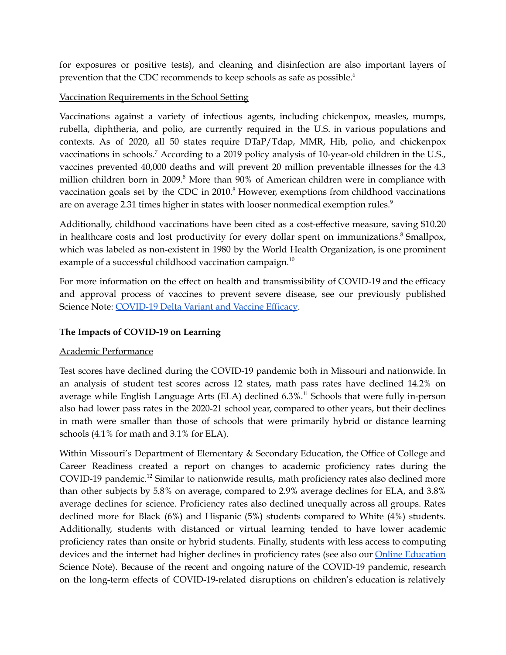for exposures or positive tests), and cleaning and disinfection are also important layers of prevention that the CDC recommends to keep schools as safe as possible. 6

#### Vaccination Requirements in the School Setting

Vaccinations against a variety of infectious agents, including chickenpox, measles, mumps, rubella, diphtheria, and polio, are currently required in the U.S. in various populations and contexts. As of 2020, all 50 states require DTaP/Tdap, MMR, Hib, polio, and chickenpox vaccinations in schools.<sup>7</sup> According to a 2019 policy analysis of 10-year-old children in the U.S., vaccines prevented 40,000 deaths and will prevent 20 million preventable illnesses for the 4.3 million children born in 2009.<sup>8</sup> More than 90% of American children were in compliance with vaccination goals set by the CDC in 2010.<sup>8</sup> However, exemptions from childhood vaccinations are on average 2.31 times higher in states with looser nonmedical exemption rules. $^9$ 

Additionally, childhood vaccinations have been cited as a cost-effective measure, saving \$10.20 in healthcare costs and lost productivity for every dollar spent on immunizations. <sup>8</sup> Smallpox, which was labeled as non-existent in 1980 by the World Health Organization, is one prominent example of a successful childhood vaccination campaign. $^{10}$ 

For more information on the effect on health and transmissibility of COVID-19 and the efficacy and approval process of vaccines to prevent severe disease, see our previously published Science Note: [COVID-19](https://mostpolicyinitiative.org/science-note/covid-19-delta-variant-and-vaccine-efficacy/) Delta Variant and Vaccine Efficacy.

### **The Impacts of COVID-19 on Learning**

### Academic Performance

Test scores have declined during the COVID-19 pandemic both in Missouri and nationwide. In an analysis of student test scores across 12 states, math pass rates have declined 14.2% on average while English Language Arts (ELA) declined 6.3%. <sup>11</sup> Schools that were fully in-person also had lower pass rates in the 2020-21 school year, compared to other years, but their declines in math were smaller than those of schools that were primarily hybrid or distance learning schools (4.1% for math and 3.1% for ELA).

Within Missouri's Department of Elementary & Secondary Education, the Office of College and Career Readiness created a report on changes to academic proficiency rates during the COVID-19 pandemic.<sup>12</sup> Similar to nationwide results, math proficiency rates also declined more than other subjects by 5.8% on average, compared to 2.9% average declines for ELA, and 3.8% average declines for science. Proficiency rates also declined unequally across all groups. Rates declined more for Black (6%) and Hispanic (5%) students compared to White (4%) students. Additionally, students with distanced or virtual learning tended to have lower academic proficiency rates than onsite or hybrid students. Finally, students with less access to computing devices and the internet had higher declines in proficiency rates (see also our Online [Education](https://mostpolicyinitiative.org/science-note/online-education/) Science Note). Because of the recent and ongoing nature of the COVID-19 pandemic, research on the long-term effects of COVID-19-related disruptions on children's education is relatively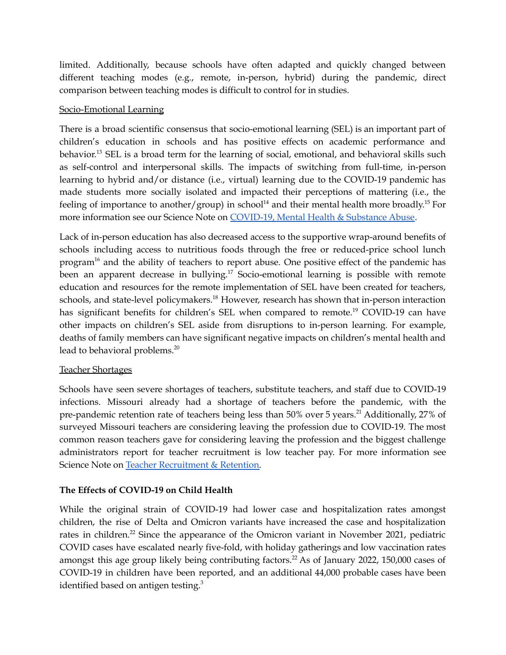limited. Additionally, because schools have often adapted and quickly changed between different teaching modes (e.g., remote, in-person, hybrid) during the pandemic, direct comparison between teaching modes is difficult to control for in studies.

#### Socio-Emotional Learning

There is a broad scientific consensus that socio-emotional learning (SEL) is an important part of children's education in schools and has positive effects on academic performance and behavior.<sup>13</sup> SEL is a broad term for the learning of social, emotional, and behavioral skills such as self-control and interpersonal skills. The impacts of switching from full-time, in-person learning to hybrid and/or distance (i.e., virtual) learning due to the COVID-19 pandemic has made students more socially isolated and impacted their perceptions of mattering (i.e., the feeling of importance to another/group) in school<sup>14</sup> and their mental health more broadly.<sup>15</sup> For more information see our Science Note on [COVID-19,](https://mostpolicyinitiative.org/science-note/covid-19-mental-health-substance-abuse/) Mental Health & Substance Abuse.

Lack of in-person education has also decreased access to the supportive wrap-around benefits of schools including access to nutritious foods through the free or reduced-price school lunch program<sup>16</sup> and the ability of teachers to report abuse. One positive effect of the pandemic has been an apparent decrease in bullying.<sup>17</sup> Socio-emotional learning is possible with remote education and resources for the remote implementation of SEL have been created for teachers, schools, and state-level policymakers.<sup>18</sup> However, research has shown that in-person interaction has significant benefits for children's SEL when compared to remote.<sup>19</sup> COVID-19 can have other impacts on children's SEL aside from disruptions to in-person learning. For example, deaths of family members can have significant negative impacts on children's mental health and lead to behavioral problems. 20

#### Teacher Shortages

Schools have seen severe shortages of teachers, substitute teachers, and staff due to COVID-19 infections. Missouri already had a shortage of teachers before the pandemic, with the pre-pandemic retention rate of teachers being less than 50% over 5 years.<sup>21</sup> Additionally, 27% of surveyed Missouri teachers are considering leaving the profession due to COVID-19. The most common reason teachers gave for considering leaving the profession and the biggest challenge administrators report for teacher recruitment is low teacher pay. For more information see Science Note on Teacher [Recruitment](https://mostpolicyinitiative.org/science-note/teacher-recruitment-retention/) & Retention.

### **The Effects of COVID-19 on Child Health**

While the original strain of COVID-19 had lower case and hospitalization rates amongst children, the rise of Delta and Omicron variants have increased the case and hospitalization rates in children.<sup>22</sup> Since the appearance of the Omicron variant in November 2021, pediatric COVID cases have escalated nearly five-fold, with holiday gatherings and low vaccination rates amongst this age group likely being contributing factors.<sup>22</sup> As of January 2022, 150,000 cases of COVID-19 in children have been reported, and an additional 44,000 probable cases have been identified based on antigen testing.<sup>3</sup>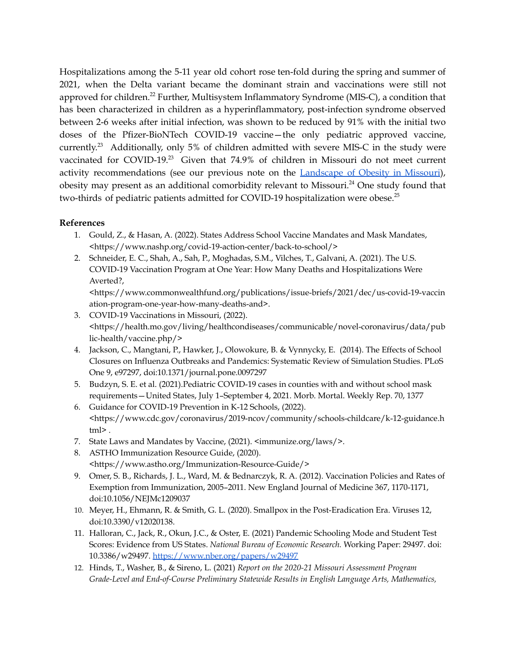Hospitalizations among the 5-11 year old cohort rose ten-fold during the spring and summer of 2021, when the Delta variant became the dominant strain and vaccinations were still not approved for children.<sup>22</sup> Further, Multisystem Inflammatory Syndrome (MIS-C), a condition that has been characterized in children as a hyperinflammatory, post-infection syndrome observed between 2-6 weeks after initial infection, was shown to be reduced by 91% with the initial two doses of the Pfizer-BioNTech COVID-19 vaccine—the only pediatric approved vaccine, currently.<sup>23</sup> Additionally, only 5% of children admitted with severe MIS-C in the study were vaccinated for COVID-19.<sup>23</sup> Given that 74.9% of children in Missouri do not meet current activity recommendations (see our previous note on the [Landscape](https://mostpolicyinitiative.org/science-note/landscape-of-obesity-in-missouri/) of Obesity in Missouri), obesity may present as an additional comorbidity relevant to Missouri.<sup>24</sup> One study found that two-thirds of pediatric patients admitted for COVID-19 hospitalization were obese.<sup>25</sup>

#### **References**

- 1. Gould, Z., & Hasan, A. (2022). States Address School Vaccine Mandates and Mask Mandates, <https://www.nashp.org/covid-19-action-center/back-to-school/>
- 2. Schneider, E. C., Shah, A., Sah, P., Moghadas, S.M., Vilches, T., Galvani, A. (2021). The U.S. COVID-19 Vaccination Program at One Year: How Many Deaths and Hospitalizations Were Averted?,

<https://www.commonwealthfund.org/publications/issue-briefs/2021/dec/us-covid-19-vaccin ation-program-one-year-how-many-deaths-and>.

- 3. COVID-19 Vaccinations in Missouri, (2022). <https://health.mo.gov/living/healthcondiseases/communicable/novel-coronavirus/data/pub lic-health/vaccine.php/>
- 4. Jackson, C., Mangtani, P., Hawker, J., Olowokure, B. & Vynnycky, E. (2014). The Effects of School Closures on Influenza Outbreaks and Pandemics: Systematic Review of Simulation Studies. PLoS One 9, e97297, doi:10.1371/journal.pone.0097297
- 5. Budzyn, S. E. et al. (2021).Pediatric COVID-19 cases in counties with and without school mask requirements—United States, July 1–September 4, 2021. Morb. Mortal. Weekly Rep. 70, 1377
- 6. Guidance for COVID-19 Prevention in K-12 Schools, (2022). <https://www.cdc.gov/coronavirus/2019-ncov/community/schools-childcare/k-12-guidance.h tml> .
- 7. State Laws and Mandates by Vaccine, (2021). <immunize.org/laws/>.
- 8. ASTHO Immunization Resource Guide, (2020). <https://www.astho.org/Immunization-Resource-Guide/>
- 9. Omer, S. B., Richards, J. L., Ward, M. & Bednarczyk, R. A. (2012). Vaccination Policies and Rates of Exemption from Immunization, 2005–2011. New England Journal of Medicine 367, 1170-1171, doi:10.1056/NEJMc1209037
- 10. Meyer, H., Ehmann, R. & Smith, G. L. (2020). Smallpox in the Post-Eradication Era. Viruses 12, doi:10.3390/v12020138.
- 11. Halloran, C., Jack, R., Okun, J.C., & Oster, E. (2021) Pandemic Schooling Mode and Student Test Scores: Evidence from US States. *National Bureau of Economic Research.* Working Paper: 29497. doi: 10.3386/w29497. <https://www.nber.org/papers/w29497>
- 12. Hinds, T., Washer, B., & Sireno, L. (2021) *Report on the 2020-21 Missouri Assessment Program Grade-Level and End-of-Course Preliminary Statewide Results in English Language Arts, Mathematics,*